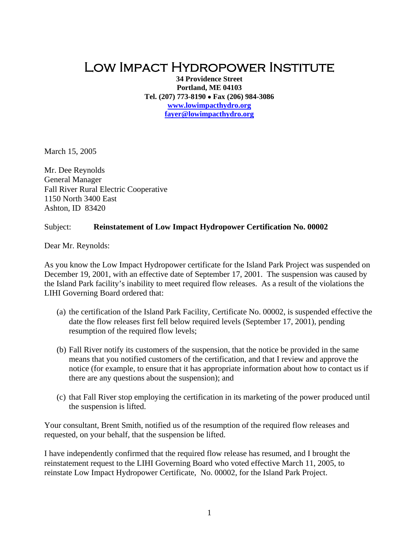## Low Impact Hydropower Institute

**34 Providence Street Portland, ME 04103 Tel. (207) 773-8190** • **Fax (206) 984-3086 [www.lowimpacthydro.org](http://www.lowimpacthydro.org/) [fayer@lowimpacthydro.org](mailto:fayer@lowimpacthydro.org)**

March 15, 2005

Mr. Dee Reynolds General Manager Fall River Rural Electric Cooperative 1150 North 3400 East Ashton, ID 83420

## Subject: **Reinstatement of Low Impact Hydropower Certification No. 00002**

Dear Mr. Reynolds:

As you know the Low Impact Hydropower certificate for the Island Park Project was suspended on December 19, 2001, with an effective date of September 17, 2001. The suspension was caused by the Island Park facility's inability to meet required flow releases. As a result of the violations the LIHI Governing Board ordered that:

- (a) the certification of the Island Park Facility, Certificate No. 00002, is suspended effective the date the flow releases first fell below required levels (September 17, 2001), pending resumption of the required flow levels;
- (b) Fall River notify its customers of the suspension, that the notice be provided in the same means that you notified customers of the certification, and that I review and approve the notice (for example, to ensure that it has appropriate information about how to contact us if there are any questions about the suspension); and
- (c) that Fall River stop employing the certification in its marketing of the power produced until the suspension is lifted.

Your consultant, Brent Smith, notified us of the resumption of the required flow releases and requested, on your behalf, that the suspension be lifted.

I have independently confirmed that the required flow release has resumed, and I brought the reinstatement request to the LIHI Governing Board who voted effective March 11, 2005, to reinstate Low Impact Hydropower Certificate, No. 00002, for the Island Park Project.